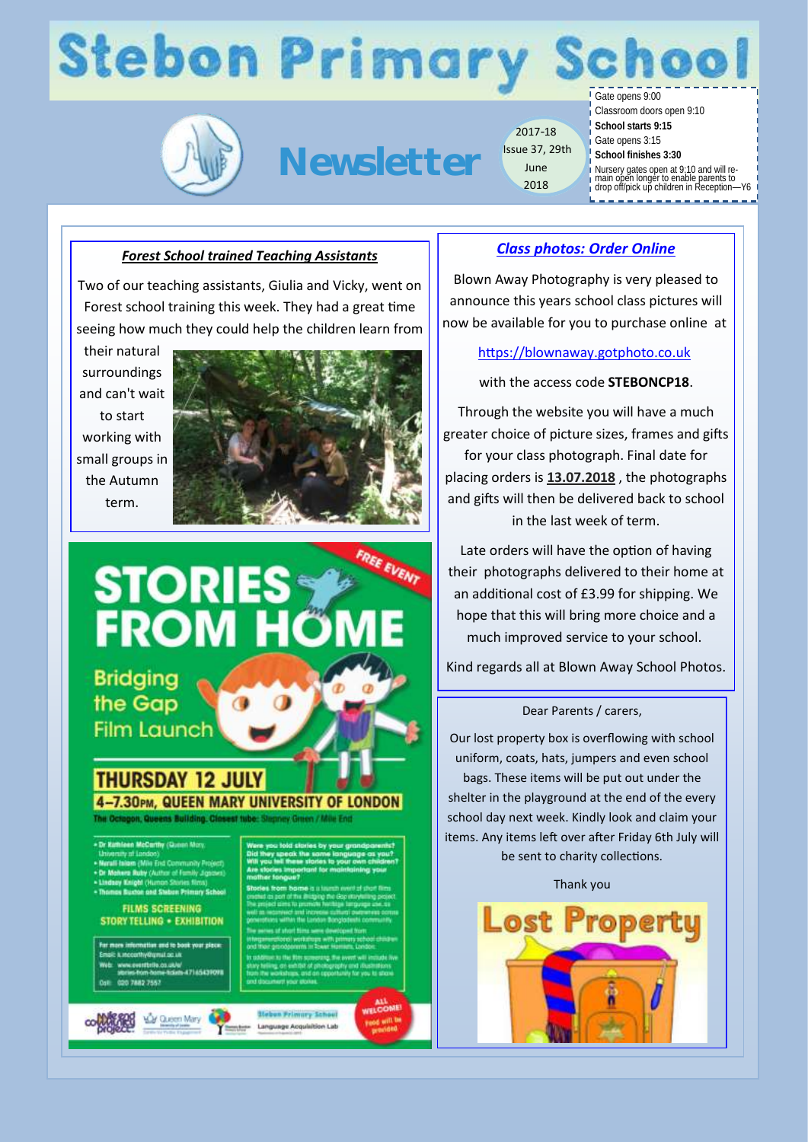# **Stebon Primary**



**Newsletter**

2017-18 Issue 37, 29th June 2018

Gate opens 9:00

Classroom doors open 9:10

- **School starts 9:15**
- Gate opens 3:15
- **School finishes 3:30**

Nursery gates open at 9:10 and will re-main open longer to enable parents to drop off/pick up children in Reception—Y6

#### *Forest School trained Teaching Assistants*

Two of our teaching assistants, Giulia and Vicky, went on Forest school training this week. They had a great time seeing how much they could help the children learn from

their natural surroundings and can't wait to start working with small groups in the Autumn term.



### FREE EVENT **STORIES FROM HO**

**Bridging** the Gap **Film Launch** 

#### **THURSDAY 12 JULY** 7.30PM, QUEEN MARY UNIVERSITY OF LONDON

 $\bigcirc$ 

- 
- 
- top and Clahon Drimmy School

**FILMS SCREENING STORY TELLING . EXHIBITION** 

im mato's 47145438001 020 7882 7557

**Stebun Frimary Sch Language Acquisition Lat**  *Class photos: Order Online*

Blown Away Photography is very pleased to announce this years school class pictures will now be available for you to purchase online at

#### [https://blownaway.gotphoto.co.uk](https://blownaway.gotphoto.co.uk/)

with the access code **STEBONCP18**.

Through the website you will have a much greater choice of picture sizes, frames and gifts for your class photograph. Final date for placing orders is **13.07.2018** , the photographs and gifts will then be delivered back to school in the last week of term.

Late orders will have the option of having their photographs delivered to their home at an additional cost of £3.99 for shipping. We hope that this will bring more choice and a much improved service to your school.

Kind regards all at Blown Away School Photos.

#### Dear Parents / carers,

Our lost property box is overflowing with school uniform, coats, hats, jumpers and even school bags. These items will be put out under the shelter in the playground at the end of the every school day next week. Kindly look and claim your items. Any items left over after Friday 6th July will

be sent to charity collections.

Thank you